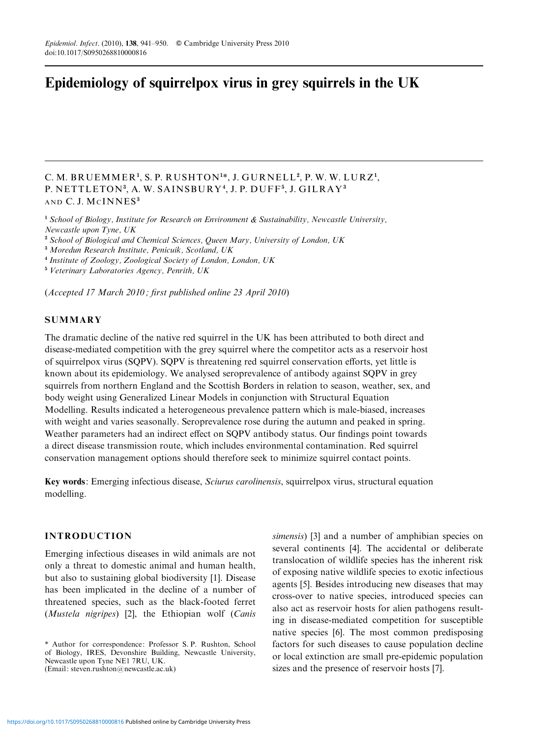# Epidemiology of squirrelpox virus in grey squirrels in the UK

# C. M. BRUEMMER<sup>1</sup>, S. P. RUSHTON<sup>1\*</sup>, J. GURNELL<sup>2</sup>, P. W. W. LURZ<sup>1</sup>, P. NETTLETON<sup>3</sup>, A.W. SAINSBURY<sup>4</sup>, J.P. DUFF<sup>5</sup>, J. GILRAY<sup>3</sup> AND C. J. MCINNES<sup>3</sup>

<sup>1</sup> School of Biology, Institute for Research on Environment & Sustainability, Newcastle University, Newcastle upon Tyne, UK

<sup>2</sup> School of Biological and Chemical Sciences, Queen Mary, University of London, UK

<sup>3</sup> Moredun Research Institute, Penicuik, Scotland, UK

<sup>4</sup> Institute of Zoology, Zoological Society of London, London, UK

<sup>5</sup> Veterinary Laboratories Agency, Penrith, UK

(Accepted 17 March 2010 ; first published online 23 April 2010)

# **SUMMARY**

The dramatic decline of the native red squirrel in the UK has been attributed to both direct and disease-mediated competition with the grey squirrel where the competitor acts as a reservoir host of squirrelpox virus (SQPV). SQPV is threatening red squirrel conservation efforts, yet little is known about its epidemiology. We analysed seroprevalence of antibody against SQPV in grey squirrels from northern England and the Scottish Borders in relation to season, weather, sex, and body weight using Generalized Linear Models in conjunction with Structural Equation Modelling. Results indicated a heterogeneous prevalence pattern which is male-biased, increases with weight and varies seasonally. Seroprevalence rose during the autumn and peaked in spring. Weather parameters had an indirect effect on SQPV antibody status. Our findings point towards a direct disease transmission route, which includes environmental contamination. Red squirrel conservation management options should therefore seek to minimize squirrel contact points.

Key words: Emerging infectious disease, Sciurus carolinensis, squirrelpox virus, structural equation modelling.

# INTRODUCTION

Emerging infectious diseases in wild animals are not only a threat to domestic animal and human health, but also to sustaining global biodiversity [1]. Disease has been implicated in the decline of a number of threatened species, such as the black-footed ferret (Mustela nigripes) [2], the Ethiopian wolf (Canis

simensis) [3] and a number of amphibian species on several continents [4]. The accidental or deliberate translocation of wildlife species has the inherent risk of exposing native wildlife species to exotic infectious agents [5]. Besides introducing new diseases that may cross-over to native species, introduced species can also act as reservoir hosts for alien pathogens resulting in disease-mediated competition for susceptible native species [6]. The most common predisposing factors for such diseases to cause population decline or local extinction are small pre-epidemic population sizes and the presence of reservoir hosts [7].

<sup>\*</sup> Author for correspondence: Professor S. P. Rushton, School of Biology, IRES, Devonshire Building, Newcastle University, Newcastle upon Tyne NE1 7RU, UK. (Email: steven.rushton@newcastle.ac.uk)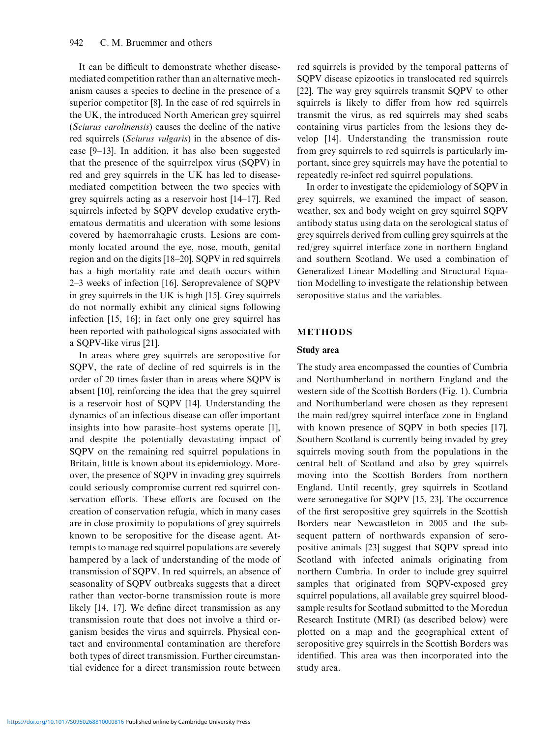It can be difficult to demonstrate whether diseasemediated competition rather than an alternative mechanism causes a species to decline in the presence of a superior competitor [8]. In the case of red squirrels in the UK, the introduced North American grey squirrel (Sciurus carolinensis) causes the decline of the native red squirrels (Sciurus vulgaris) in the absence of disease [9–13]. In addition, it has also been suggested that the presence of the squirrelpox virus (SQPV) in red and grey squirrels in the UK has led to diseasemediated competition between the two species with grey squirrels acting as a reservoir host [14–17]. Red squirrels infected by SQPV develop exudative erythematous dermatitis and ulceration with some lesions covered by haemorrahagic crusts. Lesions are commonly located around the eye, nose, mouth, genital region and on the digits [18–20]. SQPV in red squirrels has a high mortality rate and death occurs within 2–3 weeks of infection [16]. Seroprevalence of SQPV in grey squirrels in the UK is high [15]. Grey squirrels do not normally exhibit any clinical signs following infection [15, 16]; in fact only one grey squirrel has been reported with pathological signs associated with a SQPV-like virus [21].

In areas where grey squirrels are seropositive for SQPV, the rate of decline of red squirrels is in the order of 20 times faster than in areas where SQPV is absent [10], reinforcing the idea that the grey squirrel is a reservoir host of SQPV [14]. Understanding the dynamics of an infectious disease can offer important insights into how parasite–host systems operate [1], and despite the potentially devastating impact of SQPV on the remaining red squirrel populations in Britain, little is known about its epidemiology. Moreover, the presence of SQPV in invading grey squirrels could seriously compromise current red squirrel conservation efforts. These efforts are focused on the creation of conservation refugia, which in many cases are in close proximity to populations of grey squirrels known to be seropositive for the disease agent. Attempts to manage red squirrel populations are severely hampered by a lack of understanding of the mode of transmission of SQPV. In red squirrels, an absence of seasonality of SQPV outbreaks suggests that a direct rather than vector-borne transmission route is more likely [14, 17]. We define direct transmission as any transmission route that does not involve a third organism besides the virus and squirrels. Physical contact and environmental contamination are therefore both types of direct transmission. Further circumstantial evidence for a direct transmission route between

red squirrels is provided by the temporal patterns of SQPV disease epizootics in translocated red squirrels [22]. The way grey squirrels transmit SQPV to other squirrels is likely to differ from how red squirrels transmit the virus, as red squirrels may shed scabs containing virus particles from the lesions they develop [14]. Understanding the transmission route from grey squirrels to red squirrels is particularly important, since grey squirrels may have the potential to repeatedly re-infect red squirrel populations.

In order to investigate the epidemiology of SQPV in grey squirrels, we examined the impact of season, weather, sex and body weight on grey squirrel SQPV antibody status using data on the serological status of grey squirrels derived from culling grey squirrels at the red/grey squirrel interface zone in northern England and southern Scotland. We used a combination of Generalized Linear Modelling and Structural Equation Modelling to investigate the relationship between seropositive status and the variables.

## METHODS

#### Study area

The study area encompassed the counties of Cumbria and Northumberland in northern England and the western side of the Scottish Borders (Fig. 1). Cumbria and Northumberland were chosen as they represent the main red/grey squirrel interface zone in England with known presence of SQPV in both species [17]. Southern Scotland is currently being invaded by grey squirrels moving south from the populations in the central belt of Scotland and also by grey squirrels moving into the Scottish Borders from northern England. Until recently, grey squirrels in Scotland were seronegative for SQPV [15, 23]. The occurrence of the first seropositive grey squirrels in the Scottish Borders near Newcastleton in 2005 and the subsequent pattern of northwards expansion of seropositive animals [23] suggest that SQPV spread into Scotland with infected animals originating from northern Cumbria. In order to include grey squirrel samples that originated from SQPV-exposed grey squirrel populations, all available grey squirrel bloodsample results for Scotland submitted to the Moredun Research Institute (MRI) (as described below) were plotted on a map and the geographical extent of seropositive grey squirrels in the Scottish Borders was identified. This area was then incorporated into the study area.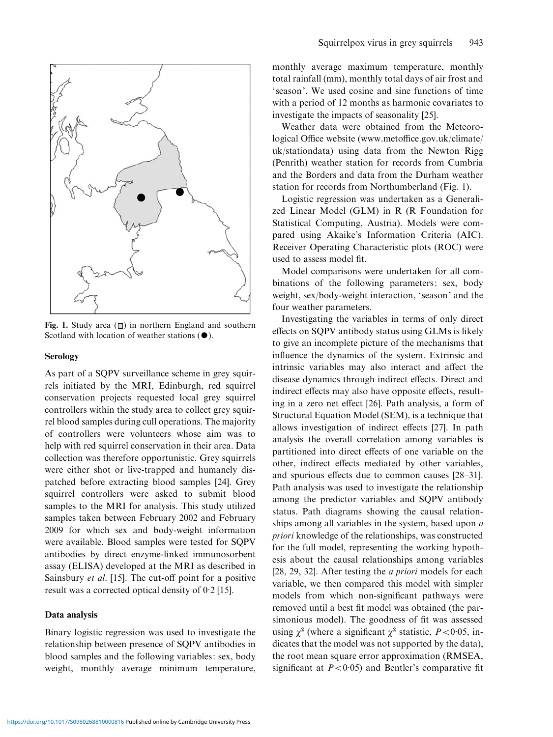

Fig. 1. Study area  $(\Box)$  in northern England and southern Scotland with location of weather stations  $(①)$ .

#### Serology

As part of a SQPV surveillance scheme in grey squirrels initiated by the MRI, Edinburgh, red squirrel conservation projects requested local grey squirrel controllers within the study area to collect grey squirrel blood samples during cull operations. The majority of controllers were volunteers whose aim was to help with red squirrel conservation in their area. Data collection was therefore opportunistic. Grey squirrels were either shot or live-trapped and humanely dispatched before extracting blood samples [24]. Grey squirrel controllers were asked to submit blood samples to the MRI for analysis. This study utilized samples taken between February 2002 and February 2009 for which sex and body-weight information were available. Blood samples were tested for SQPV antibodies by direct enzyme-linked immunosorbent assay (ELISA) developed at the MRI as described in Sainsbury et al. [15]. The cut-off point for a positive result was a corrected optical density of 0. 2 [15].

#### Data analysis

Binary logistic regression was used to investigate the relationship between presence of SQPV antibodies in blood samples and the following variables: sex, body weight, monthly average minimum temperature, monthly average maximum temperature, monthly total rainfall (mm), monthly total days of air frost and ' season'. We used cosine and sine functions of time with a period of 12 months as harmonic covariates to investigate the impacts of seasonality [25].

Weather data were obtained from the Meteorological Office website (www.metoffice.gov.uk/climate/ uk/stationdata) using data from the Newton Rigg (Penrith) weather station for records from Cumbria and the Borders and data from the Durham weather station for records from Northumberland (Fig. 1).

Logistic regression was undertaken as a Generalized Linear Model (GLM) in R (R Foundation for Statistical Computing, Austria). Models were compared using Akaike's Information Criteria (AIC). Receiver Operating Characteristic plots (ROC) were used to assess model fit.

Model comparisons were undertaken for all combinations of the following parameters: sex, body weight, sex/body-weight interaction, ' season' and the four weather parameters.

Investigating the variables in terms of only direct effects on SQPV antibody status using GLMs is likely to give an incomplete picture of the mechanisms that influence the dynamics of the system. Extrinsic and intrinsic variables may also interact and affect the disease dynamics through indirect effects. Direct and indirect effects may also have opposite effects, resulting in a zero net effect [26]. Path analysis, a form of Structural Equation Model (SEM), is a technique that allows investigation of indirect effects [27]. In path analysis the overall correlation among variables is partitioned into direct effects of one variable on the other, indirect effects mediated by other variables, and spurious effects due to common causes [28–31]. Path analysis was used to investigate the relationship among the predictor variables and SQPV antibody status. Path diagrams showing the causal relationships among all variables in the system, based upon a priori knowledge of the relationships, was constructed for the full model, representing the working hypothesis about the causal relationships among variables [28, 29, 32]. After testing the *a priori* models for each variable, we then compared this model with simpler models from which non-significant pathways were removed until a best fit model was obtained (the parsimonious model). The goodness of fit was assessed using  $\chi^2$  (where a significant  $\chi^2$  statistic,  $P < 0.05$ , indicates that the model was not supported by the data), the root mean square error approximation (RMSEA, significant at  $P < 0.05$ ) and Bentler's comparative fit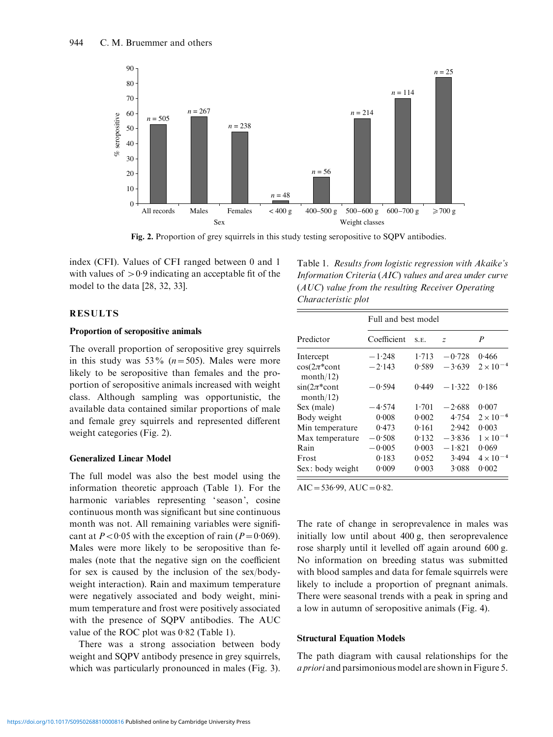

Fig. 2. Proportion of grey squirrels in this study testing seropositive to SQPV antibodies.

index (CFI). Values of CFI ranged between 0 and 1 with values of  $> 0.9$  indicating an acceptable fit of the model to the data [28, 32, 33].

RESULTS

# Proportion of seropositive animals

The overall proportion of seropositive grey squirrels in this study was  $53\%$  ( $n=505$ ). Males were more likely to be seropositive than females and the proportion of seropositive animals increased with weight class. Although sampling was opportunistic, the available data contained similar proportions of male and female grey squirrels and represented different weight categories (Fig. 2).

#### Generalized Linear Model

The full model was also the best model using the information theoretic approach (Table 1). For the harmonic variables representing 'season', cosine continuous month was significant but sine continuous month was not. All remaining variables were significant at  $P < 0.05$  with the exception of rain ( $P = 0.069$ ). Males were more likely to be seropositive than females (note that the negative sign on the coefficient for sex is caused by the inclusion of the sex/bodyweight interaction). Rain and maximum temperature were negatively associated and body weight, minimum temperature and frost were positively associated with the presence of SQPV antibodies. The AUC value of the ROC plot was 0.82 (Table 1).

There was a strong association between body weight and SQPV antibody presence in grey squirrels, which was particularly pronounced in males (Fig. 3).

Table 1. Results from logistic regression with Akaike's Information Criteria (AIC) values and area under curve (AUC) value from the resulting Receiver Operating Characteristic plot

|                                         | Full and best model |       |                |                    |  |
|-----------------------------------------|---------------------|-------|----------------|--------------------|--|
| Predictor                               | Coefficient         | S.E.  | $\overline{z}$ | P                  |  |
| Intercept                               | $-1.248$            | 1.713 | $-0.728$       | 0.466              |  |
| $\cos(2\pi^* \text{cont}$<br>month/12)  | $-2.143$            | 0.589 | $-3.639$       | $2 \times 10^{-4}$ |  |
| $\sin(2\pi^* \text{cont})$<br>month/12) | $-0.594$            | 0.449 | $-1.322$       | 0.186              |  |
| Sex (male)                              | $-4.574$            | 1.701 | $-2.688$       | 0.007              |  |
| Body weight                             | 0.008               | 0.002 | 4.754          | $2 \times 10^{-6}$ |  |
| Min temperature                         | 0.473               | 0.161 | 2.942          | 0.003              |  |
| Max temperature                         | $-0.508$            | 0.132 | $-3.836$       | $1 \times 10^{-4}$ |  |
| Rain                                    | $-0.005$            | 0.003 | $-1.821$       | 0.069              |  |
| Frost                                   | 0.183               | 0.052 | 3.494          | $4 \times 10^{-4}$ |  |
| Sex: body weight                        | 0.009               | 0.003 | 3.088          | 0.002              |  |

 $AIC = 536.99, AUC = 0.82.$ 

The rate of change in seroprevalence in males was initially low until about 400 g, then seroprevalence rose sharply until it levelled off again around 600 g. No information on breeding status was submitted with blood samples and data for female squirrels were likely to include a proportion of pregnant animals. There were seasonal trends with a peak in spring and a low in autumn of seropositive animals (Fig. 4).

#### Structural Equation Models

The path diagram with causal relationships for the a priori and parsimonious model are shown in Figure 5.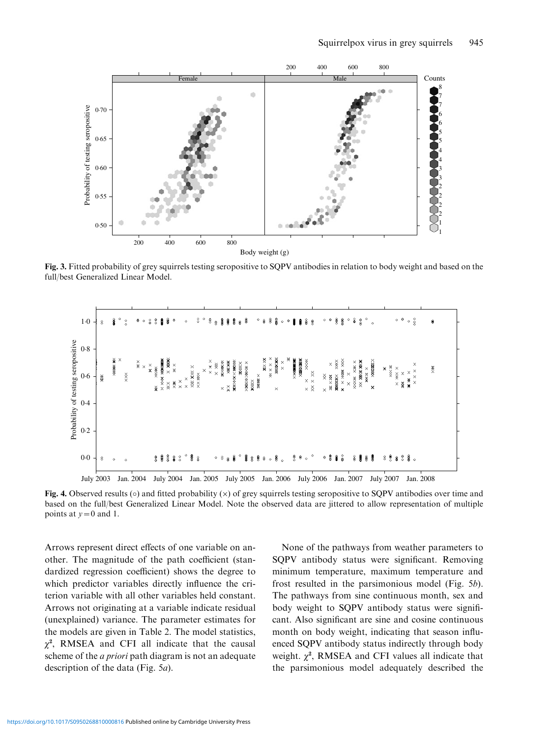

Fig. 3. Fitted probability of grey squirrels testing seropositive to SQPV antibodies in relation to body weight and based on the full/best Generalized Linear Model.



Fig. 4. Observed results ( $\circ$ ) and fitted probability ( $\times$ ) of grey squirrels testing seropositive to SOPV antibodies over time and based on the full/best Generalized Linear Model. Note the observed data are jittered to allow representation of multiple points at  $y=0$  and 1.

Arrows represent direct effects of one variable on another. The magnitude of the path coefficient (standardized regression coefficient) shows the degree to which predictor variables directly influence the criterion variable with all other variables held constant. Arrows not originating at a variable indicate residual (unexplained) variance. The parameter estimates for the models are given in Table 2. The model statistics,  $\chi^2$ , RMSEA and CFI all indicate that the causal scheme of the a priori path diagram is not an adequate description of the data (Fig. 5a).

None of the pathways from weather parameters to SQPV antibody status were significant. Removing minimum temperature, maximum temperature and frost resulted in the parsimonious model (Fig. 5b). The pathways from sine continuous month, sex and body weight to SQPV antibody status were significant. Also significant are sine and cosine continuous month on body weight, indicating that season influenced SQPV antibody status indirectly through body weight.  $\chi^2$ , RMSEA and CFI values all indicate that the parsimonious model adequately described the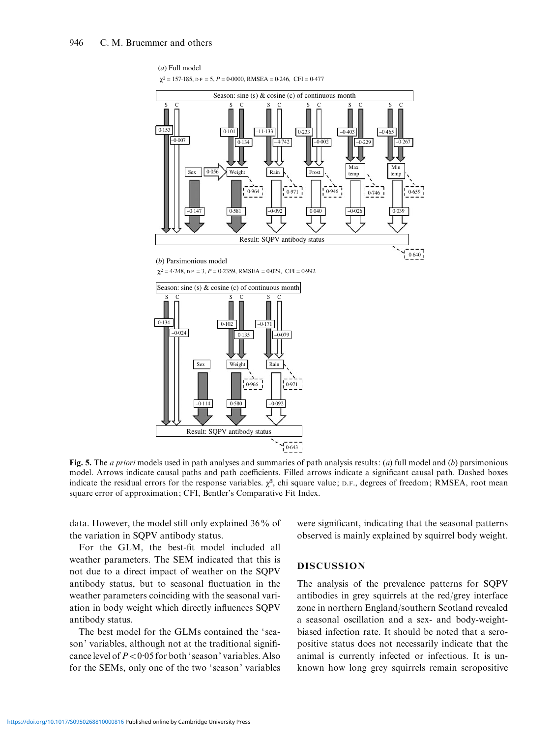

Fig. 5. The *a priori* models used in path analyses and summaries of path analysis results: (*a*) full model and (*b*) parsimonious model. Arrows indicate causal paths and path coefficients. Filled arrows indicate a significant causal path. Dashed boxes indicate the residual errors for the response variables.  $\chi^2$ , chi square value; D.F., degrees of freedom; RMSEA, root mean square error of approximation; CFI, Bentler's Comparative Fit Index.

data. However, the model still only explained 36% of the variation in SQPV antibody status.

For the GLM, the best-fit model included all weather parameters. The SEM indicated that this is not due to a direct impact of weather on the SQPV antibody status, but to seasonal fluctuation in the weather parameters coinciding with the seasonal variation in body weight which directly influences SQPV antibody status.

The best model for the GLMs contained the 'season' variables, although not at the traditional significance level of  $P < 0.05$  for both 'season' variables. Also for the SEMs, only one of the two 'season' variables were significant, indicating that the seasonal patterns observed is mainly explained by squirrel body weight.

# DISCUSSION

The analysis of the prevalence patterns for SQPV antibodies in grey squirrels at the red/grey interface zone in northern England/southern Scotland revealed a seasonal oscillation and a sex- and body-weightbiased infection rate. It should be noted that a seropositive status does not necessarily indicate that the animal is currently infected or infectious. It is unknown how long grey squirrels remain seropositive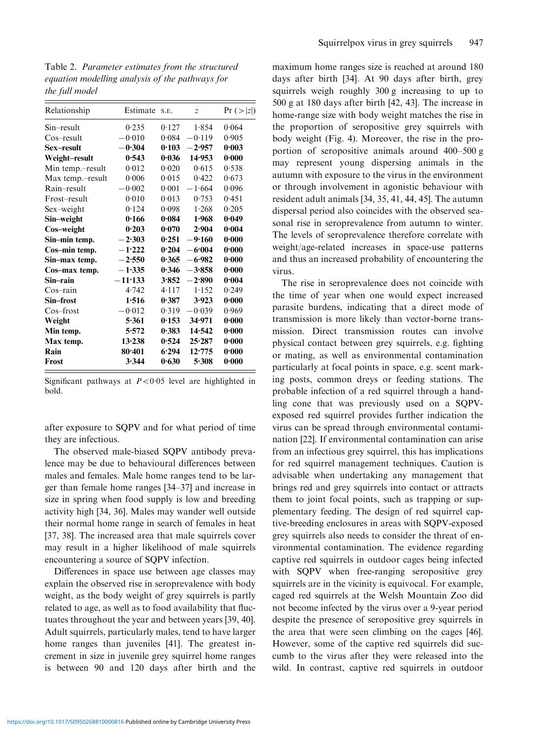Table 2. Parameter estimates from the structured equation modelling analysis of the pathways for the full model

| Relationship     | Estimate   | S.E.  | $\overline{z}$ | Pr ( >  z  ) |
|------------------|------------|-------|----------------|--------------|
| Sin–result       | 0.235      | 0.127 | 1.854          | 0.064        |
| Cos–result       | $-0.010$   | 0.084 | $-0.119$       | 0.905        |
| Sex–result       | $-0.304$   | 0.103 | $-2.957$       | 0.003        |
| Weight-result    | 0.543      | 0.036 | 14.953         | 0.000        |
| Min temp.-result | 0.012      | 0.020 | 0.615          | 0.538        |
| Max temp.-result | 0.006      | 0.015 | 0.422          | 0.673        |
| Rain-result      | $-0.002$   | 0.001 | $-1.664$       | 0.096        |
| Frost–result     | 0.010      | 0.013 | 0.753          | 0.451        |
| Sex-weight       | 0.124      | 0.098 | 1.268          | 0.205        |
| Sin–weight       | 0.166      | 0.084 | 1.968          | 0.049        |
| Cos-weight       | 0.203      | 0.070 | 2.904          | 0.004        |
| Sin-min temp.    | $-2.303$   | 0.251 | $-9.160$       | 0.000        |
| Cos-min temp.    | $-1.222$   | 0.204 | $-6.004$       | 0.000        |
| Sin-max temp.    | $-2.550$   | 0.365 | $-6.982$       | 0.000        |
| Cos-max temp.    | $-1.335$   | 0.346 | $-3.858$       | 0.000        |
| Sin–rain         | $-11.133$  | 3.852 | $-2.890$       | 0.004        |
| $Cos$ -rain      | 4.742      | 4.117 | 1.152          | 0.249        |
| Sin–frost        | 1.516      | 0.387 | 3.923          | 0.000        |
| $Cos$ -frost     | $-0.012$   | 0.319 | $-0.039$       | 0.969        |
| Weight           | 5.361      | 0.153 | 34.971         | 0.000        |
| Min temp.        | 5:572      | 0.383 | 14.542         | 0.000        |
| Max temp.        | 13.238     | 0.524 | 25.287         | 0.000        |
| Rain             | $80 - 401$ | 6.294 | 12.775         | 0.000        |
| <b>Frost</b>     | 3.344      | 0.630 | 5.308          | 0.000        |
|                  |            |       |                |              |

Significant pathways at  $P < 0.05$  level are highlighted in bold.

after exposure to SQPV and for what period of time they are infectious.

The observed male-biased SQPV antibody prevalence may be due to behavioural differences between males and females. Male home ranges tend to be larger than female home ranges [34–37] and increase in size in spring when food supply is low and breeding activity high [34, 36]. Males may wander well outside their normal home range in search of females in heat [37, 38]. The increased area that male squirrels cover may result in a higher likelihood of male squirrels encountering a source of SQPV infection.

Differences in space use between age classes may explain the observed rise in seroprevalence with body weight, as the body weight of grey squirrels is partly related to age, as well as to food availability that fluctuates throughout the year and between years [39, 40]. Adult squirrels, particularly males, tend to have larger home ranges than juveniles [41]. The greatest increment in size in juvenile grey squirrel home ranges is between 90 and 120 days after birth and the

maximum home ranges size is reached at around 180 days after birth [34]. At 90 days after birth, grey squirrels weigh roughly 300 g increasing to up to 500 g at 180 days after birth [42, 43]. The increase in home-range size with body weight matches the rise in the proportion of seropositive grey squirrels with body weight (Fig. 4). Moreover, the rise in the proportion of seropositive animals around 400–500 g may represent young dispersing animals in the autumn with exposure to the virus in the environment or through involvement in agonistic behaviour with resident adult animals [34, 35, 41, 44, 45]. The autumn dispersal period also coincides with the observed seasonal rise in seroprevalence from autumn to winter. The levels of seroprevalence therefore correlate with weight/age-related increases in space-use patterns and thus an increased probability of encountering the virus.

The rise in seroprevalence does not coincide with the time of year when one would expect increased parasite burdens, indicating that a direct mode of transmission is more likely than vector-borne transmission. Direct transmission routes can involve physical contact between grey squirrels, e.g. fighting or mating, as well as environmental contamination particularly at focal points in space, e.g. scent marking posts, common dreys or feeding stations. The probable infection of a red squirrel through a handling cone that was previously used on a SQPVexposed red squirrel provides further indication the virus can be spread through environmental contamination [22]. If environmental contamination can arise from an infectious grey squirrel, this has implications for red squirrel management techniques. Caution is advisable when undertaking any management that brings red and grey squirrels into contact or attracts them to joint focal points, such as trapping or supplementary feeding. The design of red squirrel captive-breeding enclosures in areas with SQPV-exposed grey squirrels also needs to consider the threat of environmental contamination. The evidence regarding captive red squirrels in outdoor cages being infected with SQPV when free-ranging seropositive grey squirrels are in the vicinity is equivocal. For example, caged red squirrels at the Welsh Mountain Zoo did not become infected by the virus over a 9-year period despite the presence of seropositive grey squirrels in the area that were seen climbing on the cages [46]. However, some of the captive red squirrels did succumb to the virus after they were released into the wild. In contrast, captive red squirrels in outdoor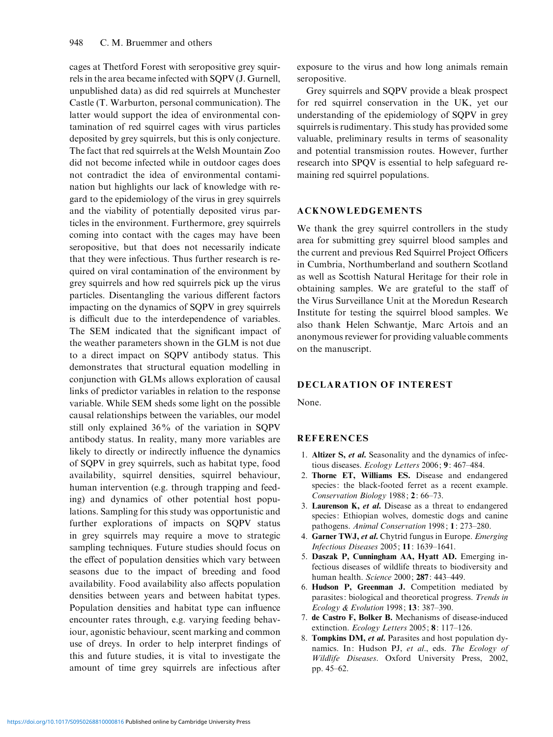cages at Thetford Forest with seropositive grey squirrels in the area became infected with SQPV (J. Gurnell, unpublished data) as did red squirrels at Munchester Castle (T. Warburton, personal communication). The latter would support the idea of environmental contamination of red squirrel cages with virus particles deposited by grey squirrels, but this is only conjecture. The fact that red squirrels at the Welsh Mountain Zoo did not become infected while in outdoor cages does not contradict the idea of environmental contamination but highlights our lack of knowledge with regard to the epidemiology of the virus in grey squirrels and the viability of potentially deposited virus particles in the environment. Furthermore, grey squirrels coming into contact with the cages may have been seropositive, but that does not necessarily indicate that they were infectious. Thus further research is required on viral contamination of the environment by grey squirrels and how red squirrels pick up the virus particles. Disentangling the various different factors impacting on the dynamics of SQPV in grey squirrels is difficult due to the interdependence of variables. The SEM indicated that the significant impact of the weather parameters shown in the GLM is not due to a direct impact on SQPV antibody status. This demonstrates that structural equation modelling in conjunction with GLMs allows exploration of causal links of predictor variables in relation to the response variable. While SEM sheds some light on the possible causal relationships between the variables, our model still only explained 36% of the variation in SQPV antibody status. In reality, many more variables are likely to directly or indirectly influence the dynamics of SQPV in grey squirrels, such as habitat type, food availability, squirrel densities, squirrel behaviour, human intervention (e.g. through trapping and feeding) and dynamics of other potential host populations. Sampling for this study was opportunistic and further explorations of impacts on SQPV status in grey squirrels may require a move to strategic sampling techniques. Future studies should focus on the effect of population densities which vary between seasons due to the impact of breeding and food availability. Food availability also affects population densities between years and between habitat types. Population densities and habitat type can influence encounter rates through, e.g. varying feeding behaviour, agonistic behaviour, scent marking and common use of dreys. In order to help interpret findings of this and future studies, it is vital to investigate the amount of time grey squirrels are infectious after

exposure to the virus and how long animals remain seropositive.

Grey squirrels and SQPV provide a bleak prospect for red squirrel conservation in the UK, yet our understanding of the epidemiology of SQPV in grey squirrels is rudimentary. This study has provided some valuable, preliminary results in terms of seasonality and potential transmission routes. However, further research into SPQV is essential to help safeguard remaining red squirrel populations.

#### ACKNOWLEDGEMENTS

We thank the grey squirrel controllers in the study area for submitting grey squirrel blood samples and the current and previous Red Squirrel Project Officers in Cumbria, Northumberland and southern Scotland as well as Scottish Natural Heritage for their role in obtaining samples. We are grateful to the staff of the Virus Surveillance Unit at the Moredun Research Institute for testing the squirrel blood samples. We also thank Helen Schwantje, Marc Artois and an anonymous reviewer for providing valuable comments on the manuscript.

# DECLARATION OF INTEREST

None.

## **REFERENCES**

- 1. Altizer S, et al. Seasonality and the dynamics of infectious diseases. Ecology Letters 2006; 9: 467–484.
- 2. Thorne ET, Williams ES. Disease and endangered species: the black-footed ferret as a recent example. Conservation Biology 1988; 2: 66–73.
- 3. Laurenson  $K$ , et al. Disease as a threat to endangered species: Ethiopian wolves, domestic dogs and canine pathogens. Animal Conservation 1998; 1: 273–280.
- 4. Garner TWJ, et al. Chytrid fungus in Europe. Emerging Infectious Diseases 2005; 11: 1639–1641.
- 5. Daszak P, Cunningham AA, Hyatt AD. Emerging infectious diseases of wildlife threats to biodiversity and human health. Science 2000; 287: 443–449.
- 6. Hudson P, Greenman J. Competition mediated by parasites: biological and theoretical progress. Trends in Ecology & Evolution 1998; 13: 387–390.
- 7. de Castro F, Bolker B. Mechanisms of disease-induced extinction. Ecology Letters 2005; 8: 117–126.
- 8. Tompkins DM, et al. Parasites and host population dynamics. In: Hudson PJ, et al., eds. The Ecology of Wildlife Diseases. Oxford University Press, 2002, pp. 45–62.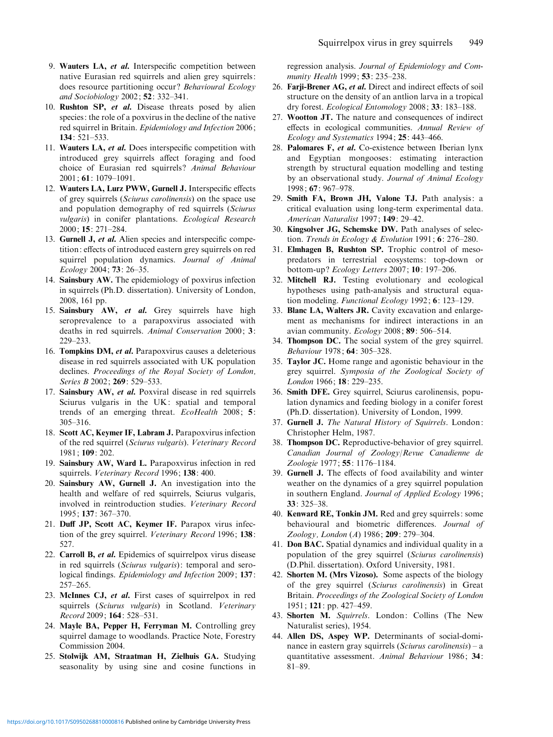- 9. Wauters LA, et al. Interspecific competition between native Eurasian red squirrels and alien grey squirrels: does resource partitioning occur? Behavioural Ecology and Sociobiology 2002; 52: 332–341.
- 10. Rushton SP, et al. Disease threats posed by alien species: the role of a poxvirus in the decline of the native red squirrel in Britain. Epidemiology and Infection 2006; 134: 521–533.
- 11. Wauters LA, et al. Does interspecific competition with introduced grey squirrels affect foraging and food choice of Eurasian red squirrels? Animal Behaviour 2001; 61: 1079–1091.
- 12. Wauters LA, Lurz PWW, Gurnell J. Interspecific effects of grey squirrels (Sciurus carolinensis) on the space use and population demography of red squirrels (Sciurus vulgaris) in conifer plantations. Ecological Research 2000; 15: 271–284.
- 13. Gurnell J, et al. Alien species and interspecific competition: effects of introduced eastern grey squirrels on red squirrel population dynamics. Journal of Animal Ecology 2004; 73: 26–35.
- 14. Sainsbury AW. The epidemiology of poxvirus infection in squirrels (Ph.D. dissertation). University of London, 2008, 161 pp.
- 15. Sainsbury AW, et al. Grey squirrels have high seroprevalence to a parapoxvirus associated with deaths in red squirrels. Animal Conservation 2000; 3: 229–233.
- 16. Tompkins DM, et al. Parapoxvirus causes a deleterious disease in red squirrels associated with UK population declines. Proceedings of the Royal Society of London, Series B 2002; 269: 529-533.
- 17. Sainsbury AW, et al. Poxviral disease in red squirrels Sciurus vulgaris in the UK: spatial and temporal trends of an emerging threat. EcoHealth 2008; 5: 305–316.
- 18. Scott AC, Keymer IF, Labram J. Parapoxvirus infection of the red squirrel (Sciurus vulgaris). Veterinary Record 1981; 109: 202.
- 19. Sainsbury AW, Ward L. Parapoxvirus infection in red squirrels. Veterinary Record 1996; 138: 400.
- 20. Sainsbury AW, Gurnell J. An investigation into the health and welfare of red squirrels, Sciurus vulgaris, involved in reintroduction studies. Veterinary Record 1995; 137: 367–370.
- 21. Duff JP, Scott AC, Keymer IF. Parapox virus infection of the grey squirrel. Veterinary Record 1996; 138: 527.
- 22. Carroll B, et al. Epidemics of squirrelpox virus disease in red squirrels (Sciurus vulgaris): temporal and serological findings. Epidemiology and Infection 2009; 137: 257–265.
- 23. McInnes CJ, et al. First cases of squirrelpox in red squirrels (Sciurus vulgaris) in Scotland. Veterinary Record 2009; 164: 528–531.
- 24. Mayle BA, Pepper H, Ferryman M. Controlling grey squirrel damage to woodlands. Practice Note, Forestry Commission 2004.
- 25. Stolwijk AM, Straatman H, Zielhuis GA. Studying seasonality by using sine and cosine functions in

regression analysis. Journal of Epidemiology and Community Health 1999; 53: 235–238.

- 26. Farji-Brener AG, et al. Direct and indirect effects of soil structure on the density of an antlion larva in a tropical dry forest. Ecological Entomology 2008; 33: 183–188.
- 27. Wootton JT. The nature and consequences of indirect effects in ecological communities. Annual Review of Ecology and Systematics 1994; 25: 443-466.
- 28. Palomares F, et al. Co-existence between Iberian lynx and Egyptian mongooses: estimating interaction strength by structural equation modelling and testing by an observational study. Journal of Animal Ecology 1998; 67: 967–978.
- 29. Smith FA, Brown JH, Valone TJ. Path analysis: a critical evaluation using long-term experimental data. American Naturalist 1997; 149: 29–42.
- 30. Kingsolver JG, Schemske DW. Path analyses of selection. Trends in Ecology & Evolution 1991;  $6: 276-280$ .
- 31. Elmhagen B, Rushton SP. Trophic control of mesopredators in terrestrial ecosystems: top-down or bottom-up ? Ecology Letters 2007; 10: 197–206.
- 32. Mitchell RJ. Testing evolutionary and ecological hypotheses using path-analysis and structural equation modeling. Functional Ecology 1992; 6: 123-129.
- 33. Blanc LA, Walters JR. Cavity excavation and enlargement as mechanisms for indirect interactions in an avian community.  $Ecology 2008$ ;  $89: 506-514$ .
- 34. Thompson DC. The social system of the grey squirrel. Behaviour 1978; 64: 305–328.
- 35. Taylor JC. Home range and agonistic behaviour in the grey squirrel. Symposia of the Zoological Society of London 1966; 18: 229–235.
- 36. Smith DFE. Grey squirrel, Sciurus carolinensis, population dynamics and feeding biology in a conifer forest (Ph.D. dissertation). University of London, 1999.
- 37. Gurnell J. The Natural History of Squirrels. London: Christopher Helm, 1987.
- 38. Thompson DC. Reproductive-behavior of grey squirrel. Canadian Journal of Zoology/Revue Canadienne de Zoologie 1977; 55: 1176–1184.
- 39. Gurnell J. The effects of food availability and winter weather on the dynamics of a grey squirrel population in southern England. Journal of Applied Ecology 1996; 33: 325–38.
- 40. Kenward RE, Tonkin JM. Red and grey squirrels: some behavioural and biometric differences. Journal of Zoology, London (A) 1986; 209: 279–304.
- 41. Don BAC. Spatial dynamics and individual quality in a population of the grey squirrel (Sciurus carolinensis) (D.Phil. dissertation). Oxford University, 1981.
- 42. Shorten M. (Mrs Vizoso). Some aspects of the biology of the grey squirrel (Sciurus carolinensis) in Great Britain. Proceedings of the Zoological Society of London 1951; 121: pp. 427–459.
- 43. Shorten M. Squirrels. London: Collins (The New Naturalist series), 1954.
- 44. Allen DS, Aspey WP. Determinants of social-dominance in eastern gray squirrels (Sciurus carolinensis) – a quantitative assessment. Animal Behaviour 1986; 34: 81–89.